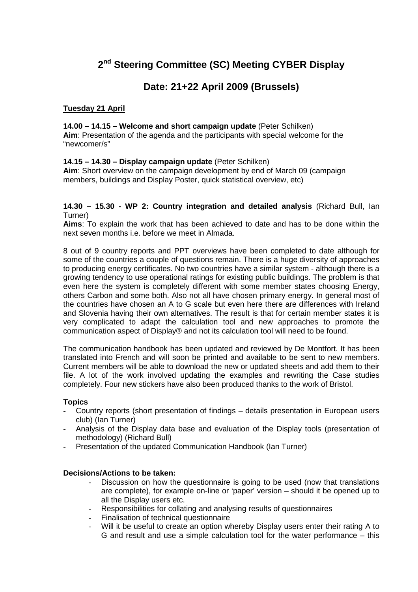# **2 nd Steering Committee (SC) Meeting CYBER Display**

# **Date: 21+22 April 2009 (Brussels)**

# **Tuesday 21 April**

#### **14.00 – 14.15 – Welcome and short campaign update** (Peter Schilken)

**Aim**: Presentation of the agenda and the participants with special welcome for the "newcomer/s"

# **14.15 – 14.30 – Display campaign update** (Peter Schilken)

**Aim**: Short overview on the campaign development by end of March 09 (campaign members, buildings and Display Poster, quick statistical overview, etc)

#### **14.30 – 15.30 - WP 2: Country integration and detailed analysis** (Richard Bull, Ian Turner)

**Aims**: To explain the work that has been achieved to date and has to be done within the next seven months i.e. before we meet in Almada.

8 out of 9 country reports and PPT overviews have been completed to date although for some of the countries a couple of questions remain. There is a huge diversity of approaches to producing energy certificates. No two countries have a similar system - although there is a growing tendency to use operational ratings for existing public buildings. The problem is that even here the system is completely different with some member states choosing Energy, others Carbon and some both. Also not all have chosen primary energy. In general most of the countries have chosen an A to G scale but even here there are differences with Ireland and Slovenia having their own alternatives. The result is that for certain member states it is very complicated to adapt the calculation tool and new approaches to promote the communication aspect of Display® and not its calculation tool will need to be found.

The communication handbook has been updated and reviewed by De Montfort. It has been translated into French and will soon be printed and available to be sent to new members. Current members will be able to download the new or updated sheets and add them to their file. A lot of the work involved updating the examples and rewriting the Case studies completely. Four new stickers have also been produced thanks to the work of Bristol.

#### **Topics**

- Country reports (short presentation of findings details presentation in European users club) (Ian Turner)
- Analysis of the Display data base and evaluation of the Display tools (presentation of methodology) (Richard Bull)
- Presentation of the updated Communication Handbook (Ian Turner)

# **Decisions/Actions to be taken:**

- Discussion on how the questionnaire is going to be used (now that translations are complete), for example on-line or 'paper' version – should it be opened up to all the Display users etc.
- Responsibilities for collating and analysing results of questionnaires
- Finalisation of technical questionnaire
- Will it be useful to create an option whereby Display users enter their rating A to G and result and use a simple calculation tool for the water performance – this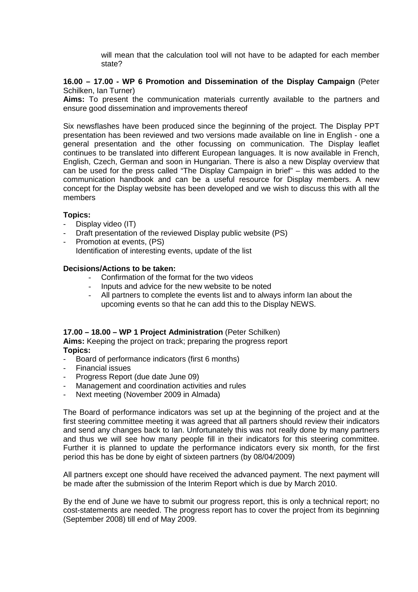will mean that the calculation tool will not have to be adapted for each member state?

#### **16.00 – 17.00 - WP 6 Promotion and Dissemination of the Display Campaign** (Peter Schilken, Ian Turner)

**Aims:** To present the communication materials currently available to the partners and ensure good dissemination and improvements thereof

Six newsflashes have been produced since the beginning of the project. The Display PPT presentation has been reviewed and two versions made available on line in English - one a general presentation and the other focussing on communication. The Display leaflet continues to be translated into different European languages. It is now available in French, English, Czech, German and soon in Hungarian. There is also a new Display overview that can be used for the press called "The Display Campaign in brief" – this was added to the communication handbook and can be a useful resource for Display members. A new concept for the Display website has been developed and we wish to discuss this with all the members

# **Topics:**

- Display video (IT)
- Draft presentation of the reviewed Display public website (PS)
- Promotion at events, (PS) Identification of interesting events, update of the list

#### **Decisions/Actions to be taken:**

- Confirmation of the format for the two videos
- Inputs and advice for the new website to be noted
- All partners to complete the events list and to always inform Ian about the upcoming events so that he can add this to the Display NEWS.

#### **17.00 – 18.00 – WP 1 Project Administration** (Peter Schilken)

**Aims:** Keeping the project on track; preparing the progress report **Topics:** 

- Board of performance indicators (first 6 months)
- Financial issues
- Progress Report (due date June 09)
- Management and coordination activities and rules
- Next meeting (November 2009 in Almada)

The Board of performance indicators was set up at the beginning of the project and at the first steering committee meeting it was agreed that all partners should review their indicators and send any changes back to Ian. Unfortunately this was not really done by many partners and thus we will see how many people fill in their indicators for this steering committee. Further it is planned to update the performance indicators every six month, for the first period this has be done by eight of sixteen partners (by 08/04/2009)

All partners except one should have received the advanced payment. The next payment will be made after the submission of the Interim Report which is due by March 2010.

By the end of June we have to submit our progress report, this is only a technical report; no cost-statements are needed. The progress report has to cover the project from its beginning (September 2008) till end of May 2009.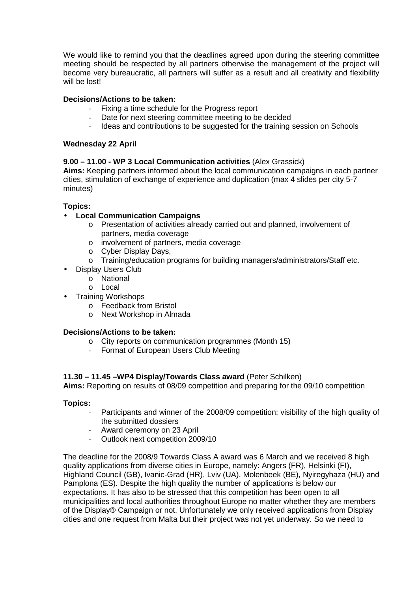We would like to remind you that the deadlines agreed upon during the steering committee meeting should be respected by all partners otherwise the management of the project will become very bureaucratic, all partners will suffer as a result and all creativity and flexibility will be lost!

# **Decisions/Actions to be taken:**

- Fixing a time schedule for the Progress report
- Date for next steering committee meeting to be decided
- Ideas and contributions to be suggested for the training session on Schools

# **Wednesday 22 April**

# **9.00 – 11.00 - WP 3 Local Communication activities** (Alex Grassick)

**Aims:** Keeping partners informed about the local communication campaigns in each partner cities, stimulation of exchange of experience and duplication (max 4 slides per city 5-7 minutes)

# **Topics:**

- **Local Communication Campaigns** 
	- o Presentation of activities already carried out and planned, involvement of partners, media coverage
	- o involvement of partners, media coverage
	- o Cyber Display Days,
	- o Training/education programs for building managers/administrators/Staff etc.
- Display Users Club
	- o National
		- o Local
- Training Workshops
	- o Feedback from Bristol
	- o Next Workshop in Almada

# **Decisions/Actions to be taken:**

- o City reports on communication programmes (Month 15)
- Format of European Users Club Meeting

# **11.30 – 11.45 –WP4 Display/Towards Class award** (Peter Schilken)

**Aims:** Reporting on results of 08/09 competition and preparing for the 09/10 competition

# **Topics:**

- Participants and winner of the 2008/09 competition; visibility of the high quality of the submitted dossiers
- Award ceremony on 23 April
- Outlook next competition 2009/10

The deadline for the 2008/9 Towards Class A award was 6 March and we received 8 high quality applications from diverse cities in Europe, namely: Angers (FR), Helsinki (FI), Highland Council (GB), Ivanic-Grad (HR), Lviv (UA), Molenbeek (BE), Nyiregyhaza (HU) and Pamplona (ES). Despite the high quality the number of applications is below our expectations. It has also to be stressed that this competition has been open to all municipalities and local authorities throughout Europe no matter whether they are members of the Display® Campaign or not. Unfortunately we only received applications from Display cities and one request from Malta but their project was not yet underway. So we need to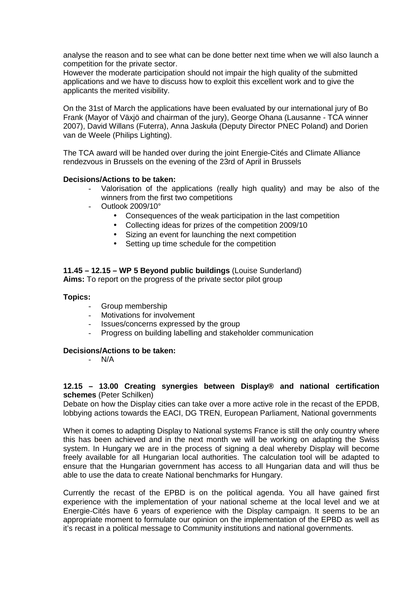analyse the reason and to see what can be done better next time when we will also launch a competition for the private sector.

However the moderate participation should not impair the high quality of the submitted applications and we have to discuss how to exploit this excellent work and to give the applicants the merited visibility.

On the 31st of March the applications have been evaluated by our international jury of Bo Frank (Mayor of Växjö and chairman of the jury), George Ohana (Lausanne - TCA winner 2007), David Willans (Futerra), Anna Jaskuła (Deputy Director PNEC Poland) and Dorien van de Weele (Philips Lighting).

The TCA award will be handed over during the joint Energie-Cités and Climate Alliance rendezvous in Brussels on the evening of the 23rd of April in Brussels

#### **Decisions/Actions to be taken:**

- Valorisation of the applications (really high quality) and may be also of the winners from the first two competitions
- Outlook 2009/10°
	- Consequences of the weak participation in the last competition
	- Collecting ideas for prizes of the competition 2009/10
	- Sizing an event for launching the next competition
	- Setting up time schedule for the competition

# **11.45 – 12.15 – WP 5 Beyond public buildings** (Louise Sunderland)

**Aims:** To report on the progress of the private sector pilot group

#### **Topics:**

- Group membership
- Motivations for involvement
- Issues/concerns expressed by the group
- Progress on building labelling and stakeholder communication

#### **Decisions/Actions to be taken:**

- N/A

#### **12.15 – 13.00 Creating synergies between Display® and national certification schemes** (Peter Schilken)

Debate on how the Display cities can take over a more active role in the recast of the EPDB, lobbying actions towards the EACI, DG TREN, European Parliament, National governments

When it comes to adapting Display to National systems France is still the only country where this has been achieved and in the next month we will be working on adapting the Swiss system. In Hungary we are in the process of signing a deal whereby Display will become freely available for all Hungarian local authorities. The calculation tool will be adapted to ensure that the Hungarian government has access to all Hungarian data and will thus be able to use the data to create National benchmarks for Hungary.

Currently the recast of the EPBD is on the political agenda. You all have gained first experience with the implementation of your national scheme at the local level and we at Energie-Cités have 6 years of experience with the Display campaign. It seems to be an appropriate moment to formulate our opinion on the implementation of the EPBD as well as it's recast in a political message to Community institutions and national governments.